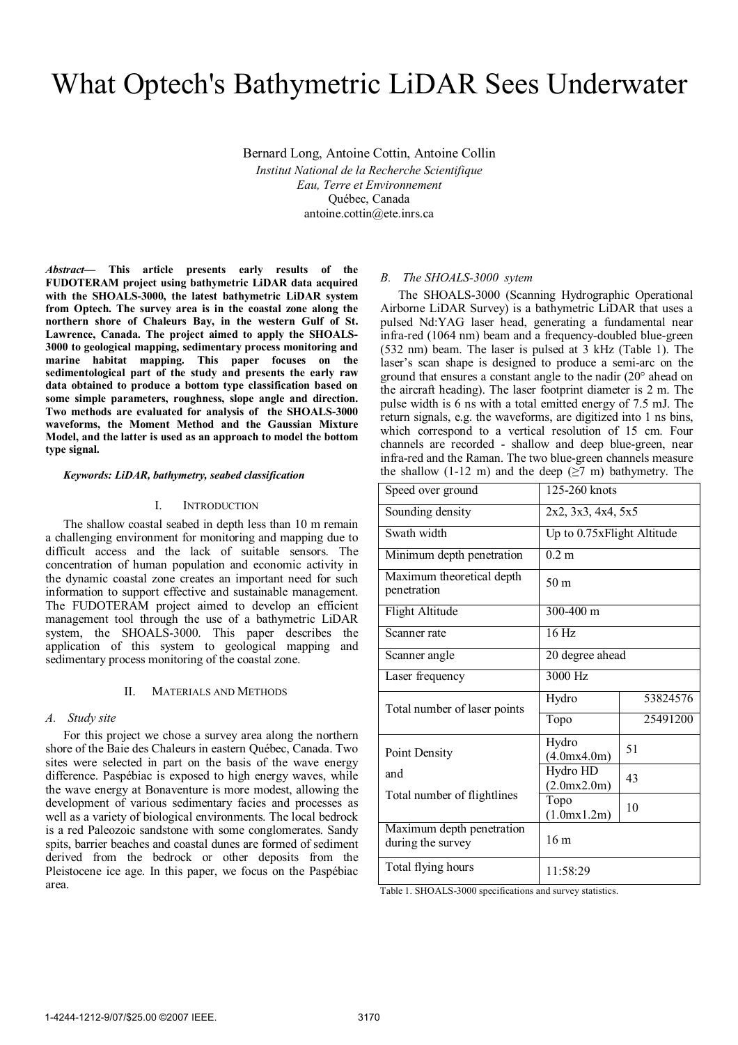# What Optech's Bathymetric LiDAR Sees Underwater

Bernard Long, Antoine Cottin, Antoine Collin *Institut National de la Recherche Scientifique Eau, Terre et Environnement*  Québec, Canada antoine.cottin@ete.inrs.ca

*Abstract***— This article presents early results of the FUDOTERAM project using bathymetric LiDAR data acquired with the SHOALS-3000, the latest bathymetric LiDAR system from Optech. The survey area is in the coastal zone along the northern shore of Chaleurs Bay, in the western Gulf of St. Lawrence, Canada. The project aimed to apply the SHOALS-3000 to geological mapping, sedimentary process monitoring and marine habitat mapping. This paper focuses on the sedimentological part of the study and presents the early raw data obtained to produce a bottom type classification based on some simple parameters, roughness, slope angle and direction. Two methods are evaluated for analysis of the SHOALS-3000 waveforms, the Moment Method and the Gaussian Mixture Model, and the latter is used as an approach to model the bottom type signal.** 

#### *Keywords: LiDAR, bathymetry, seabed classification*

# I. INTRODUCTION

The shallow coastal seabed in depth less than 10 m remain a challenging environment for monitoring and mapping due to difficult access and the lack of suitable sensors. The concentration of human population and economic activity in the dynamic coastal zone creates an important need for such information to support effective and sustainable management. The FUDOTERAM project aimed to develop an efficient management tool through the use of a bathymetric LiDAR system, the SHOALS-3000. This paper describes the application of this system to geological mapping and sedimentary process monitoring of the coastal zone.

## II. MATERIALS AND METHODS

## *A. Study site*

For this project we chose a survey area along the northern shore of the Baie des Chaleurs in eastern Québec, Canada. Two sites were selected in part on the basis of the wave energy difference. Paspébiac is exposed to high energy waves, while the wave energy at Bonaventure is more modest, allowing the development of various sedimentary facies and processes as well as a variety of biological environments. The local bedrock is a red Paleozoic sandstone with some conglomerates. Sandy spits, barrier beaches and coastal dunes are formed of sediment derived from the bedrock or other deposits from the Pleistocene ice age. In this paper, we focus on the Paspébiac area.

# *B. The SHOALS-3000 sytem*

The SHOALS-3000 (Scanning Hydrographic Operational Airborne LiDAR Survey) is a bathymetric LiDAR that uses a pulsed Nd:YAG laser head, generating a fundamental near infra-red (1064 nm) beam and a frequency-doubled blue-green (532 nm) beam. The laser is pulsed at 3 kHz (Table 1). The laser's scan shape is designed to produce a semi-arc on the ground that ensures a constant angle to the nadir (20° ahead on the aircraft heading). The laser footprint diameter is 2 m. The pulse width is 6 ns with a total emitted energy of 7.5 mJ. The return signals, e.g. the waveforms, are digitized into 1 ns bins, which correspond to a vertical resolution of 15 cm. Four channels are recorded - shallow and deep blue-green, near infra-red and the Raman. The two blue-green channels measure the shallow (1-12 m) and the deep ( $\geq$ 7 m) bathymetry. The

| Speed over ground                              | 125-260 knots              |          |
|------------------------------------------------|----------------------------|----------|
| Sounding density                               | 2x2, 3x3, 4x4, 5x5         |          |
| Swath width                                    | Up to 0.75xFlight Altitude |          |
| Minimum depth penetration                      | $0.2 \text{ m}$            |          |
| Maximum theoretical depth<br>penetration       | 50 m                       |          |
| Flight Altitude                                | $300 - 400$ m              |          |
| Scanner rate                                   | 16 Hz                      |          |
| Scanner angle                                  | 20 degree ahead            |          |
| Laser frequency                                | 3000 Hz                    |          |
| Total number of laser points                   | Hydro                      | 53824576 |
|                                                | Topo                       | 25491200 |
| Point Density                                  | Hydro<br>(4.0mx4.0m)       | 51       |
| and<br>Total number of flightlines             | Hydro HD<br>(2.0mx2.0m)    | 43       |
|                                                | Topo<br>(1.0mx1.2m)        | 10       |
| Maximum depth penetration<br>during the survey | 16 <sub>m</sub>            |          |
| Total flying hours                             | 11:58:29                   |          |

Table 1. SHOALS-3000 specifications and survey statistics.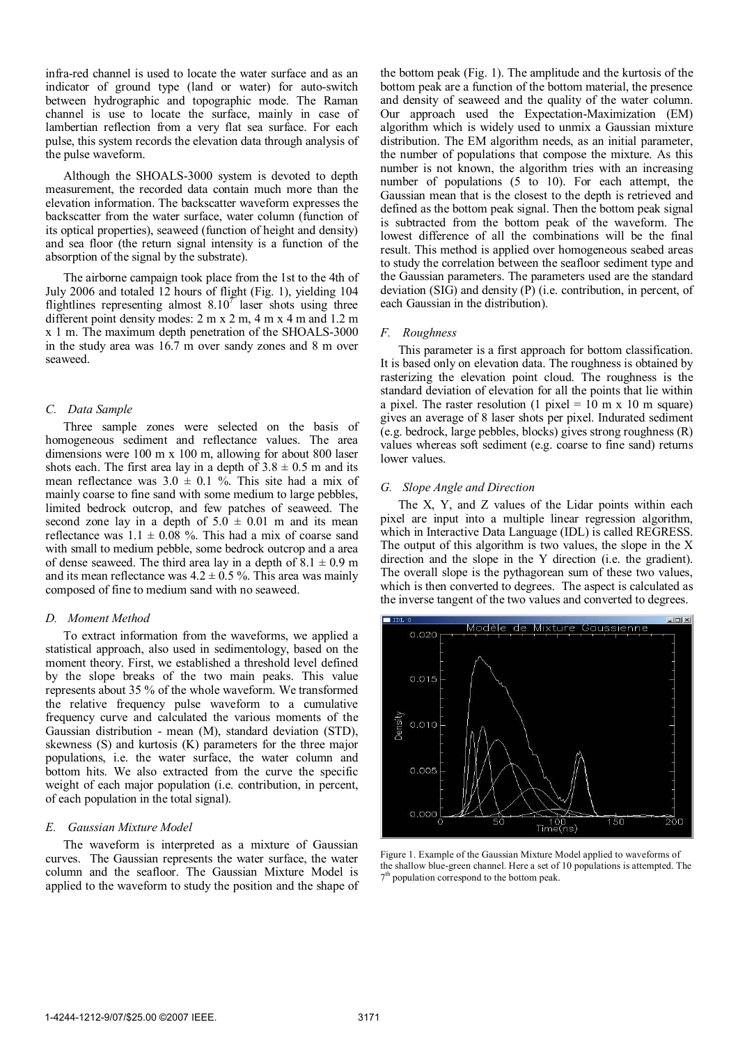infra-red channel is used to locate the water surface and as an indicator of ground type (land or water) for auto-switch between hydrographic and topographic mode. The Raman channel is use to locate the surface, mainly in case of lambertian reflection from a very flat sea surface. For each pulse, this system records the elevation data through analysis of the pulse waveform.

Although the SHOALS-3000 system is devoted to depth measurement, the recorded data contain much more than the elevation information. The backscatter waveform expresses the backscatter from the water surface, water column (function of its optical properties), seaweed (function of height and density) and sea floor (the return signal intensity is a function of the absorption of the signal by the substrate).

The airborne campaign took place from the 1st to the 4th of July 2006 and totaled 12 hours of flight (Fig. 1), yielding 104 flightlines representing almost  $8.10<sup>7</sup>$  laser shots using three different point density modes: 2 m x 2 m, 4 m x 4 m and 1.2 m x 1 m. The maximum depth penetration of the SHOALS-3000 in the study area was 16.7 m over sandy zones and 8 m over seaweed.

# *C. Data Sample*

Three sample zones were selected on the basis of homogeneous sediment and reflectance values. The area dimensions were 100 m x 100 m, allowing for about 800 laser shots each. The first area lay in a depth of  $3.8 \pm 0.5$  m and its mean reflectance was  $3.0 \pm 0.1$  %. This site had a mix of mainly coarse to fine sand with some medium to large pebbles, limited bedrock outcrop, and few patches of seaweed. The second zone lay in a depth of  $5.0 \pm 0.01$  m and its mean reflectance was  $1.1 \pm 0.08$  %. This had a mix of coarse sand with small to medium pebble, some bedrock outcrop and a area of dense seaweed. The third area lay in a depth of  $8.1 \pm 0.9$  m and its mean reflectance was  $4.2 \pm 0.5$  %. This area was mainly composed of fine to medium sand with no seaweed.

#### *D. Moment Method*

To extract information from the waveforms, we applied a statistical approach, also used in sedimentology, based on the moment theory. First, we established a threshold level defined by the slope breaks of the two main peaks. This value represents about 35 % of the whole waveform. We transformed the relative frequency pulse waveform to a cumulative frequency curve and calculated the various moments of the Gaussian distribution - mean (M), standard deviation (STD), skewness (S) and kurtosis (K) parameters for the three major populations, i.e. the water surface, the water column and bottom hits. We also extracted from the curve the specific weight of each major population (i.e. contribution, in percent, of each population in the total signal).

#### *E. Gaussian Mixture Model*

The waveform is interpreted as a mixture of Gaussian curves. The Gaussian represents the water surface, the water column and the seafloor. The Gaussian Mixture Model is applied to the waveform to study the position and the shape of

the bottom peak (Fig. 1). The amplitude and the kurtosis of the bottom peak are a function of the bottom material, the presence and density of seaweed and the quality of the water column. Our approach used the Expectation-Maximization (EM) algorithm which is widely used to unmix a Gaussian mixture distribution. The EM algorithm needs, as an initial parameter, the number of populations that compose the mixture. As this number is not known, the algorithm tries with an increasing number of populations (5 to 10). For each attempt, the Gaussian mean that is the closest to the depth is retrieved and defined as the bottom peak signal. Then the bottom peak signal is subtracted from the bottom peak of the waveform. The lowest difference of all the combinations will be the final result. This method is applied over homogeneous seabed areas to study the correlation between the seafloor sediment type and the Gaussian parameters. The parameters used are the standard deviation (SIG) and density (P) (i.e. contribution, in percent, of each Gaussian in the distribution).

#### *F. Roughness*

This parameter is a first approach for bottom classification. It is based only on elevation data. The roughness is obtained by rasterizing the elevation point cloud. The roughness is the standard deviation of elevation for all the points that lie within a pixel. The raster resolution (1 pixel =  $10 \text{ m} \times 10 \text{ m}$  square) gives an average of 8 laser shots per pixel. Indurated sediment (e.g. bedrock, large pebbles, blocks) gives strong roughness (R) values whereas soft sediment (e.g. coarse to fine sand) returns lower values.

## *G. Slope Angle and Direction*

The X, Y, and Z values of the Lidar points within each pixel are input into a multiple linear regression algorithm, which in Interactive Data Language (IDL) is called REGRESS. The output of this algorithm is two values, the slope in the X direction and the slope in the Y direction (i.e. the gradient). The overall slope is the pythagorean sum of these two values, which is then converted to degrees. The aspect is calculated as the inverse tangent of the two values and converted to degrees.



Figure 1. Example of the Gaussian Mixture Model applied to waveforms of the shallow blue-green channel. Here a set of 10 populations is attempted. The  $7<sup>th</sup>$  population correspond to the bottom peak.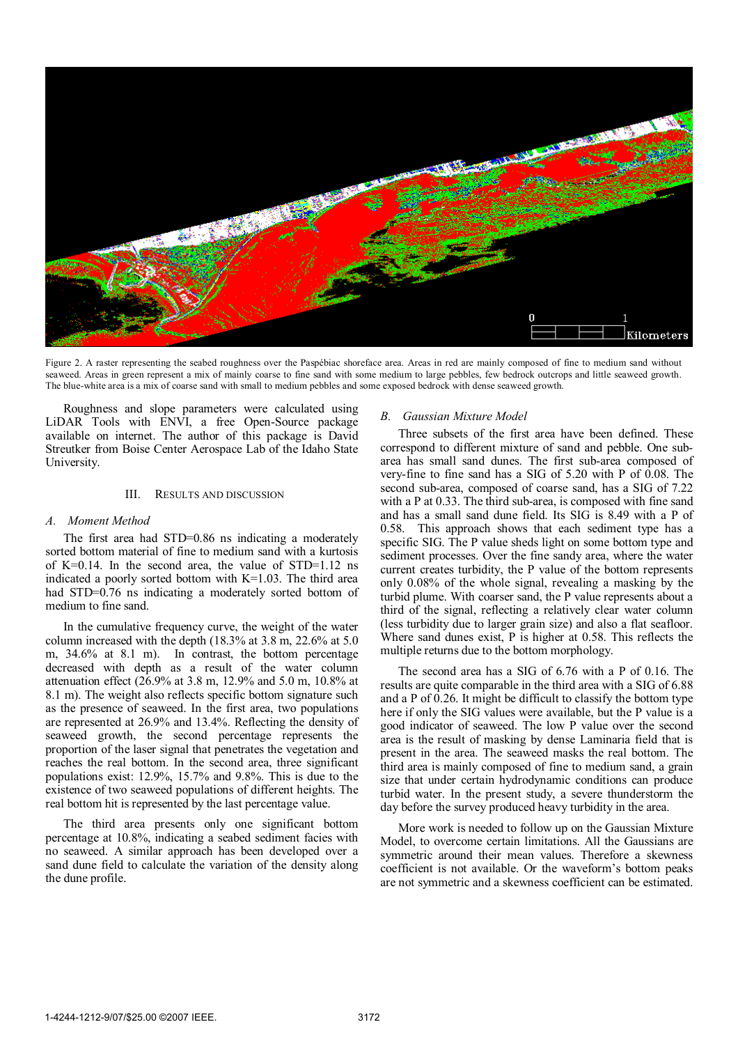

Figure 2. A raster representing the seabed roughness over the Paspébiac shoreface area. Areas in red are mainly composed of fine to medium sand without seaweed. Areas in green represent a mix of mainly coarse to fine sand with some medium to large pebbles, few bedrock outcrops and little seaweed growth. The blue-white area is a mix of coarse sand with small to medium pebbles and some exposed bedrock with dense seaweed growth.

Roughness and slope parameters were calculated using LiDAR Tools with ENVI, a free Open-Source package available on internet. The author of this package is David Streutker from Boise Center Aerospace Lab of the Idaho State University.

## III. RESULTS AND DISCUSSION

#### *A. Moment Method*

The first area had STD=0.86 ns indicating a moderately sorted bottom material of fine to medium sand with a kurtosis of K=0.14. In the second area, the value of STD=1.12 ns indicated a poorly sorted bottom with K=1.03. The third area had STD=0.76 ns indicating a moderately sorted bottom of medium to fine sand.

In the cumulative frequency curve, the weight of the water column increased with the depth (18.3% at 3.8 m, 22.6% at 5.0 m, 34.6% at 8.1 m). In contrast, the bottom percentage decreased with depth as a result of the water column attenuation effect (26.9% at 3.8 m, 12.9% and 5.0 m, 10.8% at 8.1 m). The weight also reflects specific bottom signature such as the presence of seaweed. In the first area, two populations are represented at 26.9% and 13.4%. Reflecting the density of seaweed growth, the second percentage represents the proportion of the laser signal that penetrates the vegetation and reaches the real bottom. In the second area, three significant populations exist: 12.9%, 15.7% and 9.8%. This is due to the existence of two seaweed populations of different heights. The real bottom hit is represented by the last percentage value.

The third area presents only one significant bottom percentage at 10.8%, indicating a seabed sediment facies with no seaweed. A similar approach has been developed over a sand dune field to calculate the variation of the density along the dune profile.

## *B. Gaussian Mixture Model*

Three subsets of the first area have been defined. These correspond to different mixture of sand and pebble. One subarea has small sand dunes. The first sub-area composed of very-fine to fine sand has a SIG of 5.20 with P of 0.08. The second sub-area, composed of coarse sand, has a SIG of 7.22 with a P at 0.33. The third sub-area, is composed with fine sand and has a small sand dune field. Its SIG is 8.49 with a P of 0.58. This approach shows that each sediment type has a specific SIG. The P value sheds light on some bottom type and sediment processes. Over the fine sandy area, where the water current creates turbidity, the P value of the bottom represents only 0.08% of the whole signal, revealing a masking by the turbid plume. With coarser sand, the P value represents about a third of the signal, reflecting a relatively clear water column (less turbidity due to larger grain size) and also a flat seafloor. Where sand dunes exist, P is higher at 0.58. This reflects the multiple returns due to the bottom morphology.

The second area has a SIG of 6.76 with a P of 0.16. The results are quite comparable in the third area with a SIG of 6.88 and a P of 0.26. It might be difficult to classify the bottom type here if only the SIG values were available, but the P value is a good indicator of seaweed. The low P value over the second area is the result of masking by dense Laminaria field that is present in the area. The seaweed masks the real bottom. The third area is mainly composed of fine to medium sand, a grain size that under certain hydrodynamic conditions can produce turbid water. In the present study, a severe thunderstorm the day before the survey produced heavy turbidity in the area.

More work is needed to follow up on the Gaussian Mixture Model, to overcome certain limitations. All the Gaussians are symmetric around their mean values. Therefore a skewness coefficient is not available. Or the waveform's bottom peaks are not symmetric and a skewness coefficient can be estimated.